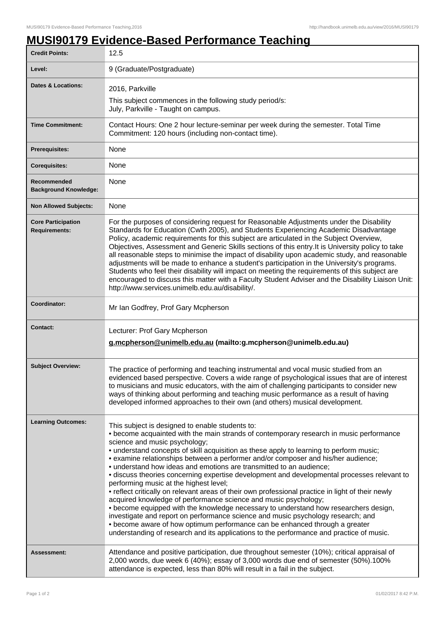## **MUSI90179 Evidence-Based Performance Teaching**

| <b>Credit Points:</b>                             | 12.5                                                                                                                                                                                                                                                                                                                                                                                                                                                                                                                                                                                                                                                                                                                                                                                                                                                                                                                                                                                                                                                                                                       |
|---------------------------------------------------|------------------------------------------------------------------------------------------------------------------------------------------------------------------------------------------------------------------------------------------------------------------------------------------------------------------------------------------------------------------------------------------------------------------------------------------------------------------------------------------------------------------------------------------------------------------------------------------------------------------------------------------------------------------------------------------------------------------------------------------------------------------------------------------------------------------------------------------------------------------------------------------------------------------------------------------------------------------------------------------------------------------------------------------------------------------------------------------------------------|
| Level:                                            | 9 (Graduate/Postgraduate)                                                                                                                                                                                                                                                                                                                                                                                                                                                                                                                                                                                                                                                                                                                                                                                                                                                                                                                                                                                                                                                                                  |
| <b>Dates &amp; Locations:</b>                     | 2016, Parkville                                                                                                                                                                                                                                                                                                                                                                                                                                                                                                                                                                                                                                                                                                                                                                                                                                                                                                                                                                                                                                                                                            |
|                                                   | This subject commences in the following study period/s:<br>July, Parkville - Taught on campus.                                                                                                                                                                                                                                                                                                                                                                                                                                                                                                                                                                                                                                                                                                                                                                                                                                                                                                                                                                                                             |
| <b>Time Commitment:</b>                           | Contact Hours: One 2 hour lecture-seminar per week during the semester. Total Time<br>Commitment: 120 hours (including non-contact time).                                                                                                                                                                                                                                                                                                                                                                                                                                                                                                                                                                                                                                                                                                                                                                                                                                                                                                                                                                  |
| <b>Prerequisites:</b>                             | None                                                                                                                                                                                                                                                                                                                                                                                                                                                                                                                                                                                                                                                                                                                                                                                                                                                                                                                                                                                                                                                                                                       |
| <b>Corequisites:</b>                              | None                                                                                                                                                                                                                                                                                                                                                                                                                                                                                                                                                                                                                                                                                                                                                                                                                                                                                                                                                                                                                                                                                                       |
| Recommended<br><b>Background Knowledge:</b>       | None                                                                                                                                                                                                                                                                                                                                                                                                                                                                                                                                                                                                                                                                                                                                                                                                                                                                                                                                                                                                                                                                                                       |
| <b>Non Allowed Subjects:</b>                      | None                                                                                                                                                                                                                                                                                                                                                                                                                                                                                                                                                                                                                                                                                                                                                                                                                                                                                                                                                                                                                                                                                                       |
| <b>Core Participation</b><br><b>Requirements:</b> | For the purposes of considering request for Reasonable Adjustments under the Disability<br>Standards for Education (Cwth 2005), and Students Experiencing Academic Disadvantage<br>Policy, academic requirements for this subject are articulated in the Subject Overview,<br>Objectives, Assessment and Generic Skills sections of this entry. It is University policy to take<br>all reasonable steps to minimise the impact of disability upon academic study, and reasonable<br>adjustments will be made to enhance a student's participation in the University's programs.<br>Students who feel their disability will impact on meeting the requirements of this subject are<br>encouraged to discuss this matter with a Faculty Student Adviser and the Disability Liaison Unit:<br>http://www.services.unimelb.edu.au/disability/.                                                                                                                                                                                                                                                                  |
| Coordinator:                                      | Mr Ian Godfrey, Prof Gary Mcpherson                                                                                                                                                                                                                                                                                                                                                                                                                                                                                                                                                                                                                                                                                                                                                                                                                                                                                                                                                                                                                                                                        |
| <b>Contact:</b>                                   | Lecturer: Prof Gary Mcpherson<br>g.mcpherson@unimelb.edu.au (mailto:g.mcpherson@unimelb.edu.au)                                                                                                                                                                                                                                                                                                                                                                                                                                                                                                                                                                                                                                                                                                                                                                                                                                                                                                                                                                                                            |
| <b>Subject Overview:</b>                          | The practice of performing and teaching instrumental and vocal music studied from an<br>evidenced based perspective. Covers a wide range of psychological issues that are of interest<br>to musicians and music educators, with the aim of challenging participants to consider new<br>ways of thinking about performing and teaching music performance as a result of having<br>developed informed approaches to their own (and others) musical development.                                                                                                                                                                                                                                                                                                                                                                                                                                                                                                                                                                                                                                              |
| <b>Learning Outcomes:</b>                         | This subject is designed to enable students to:<br>• become acquainted with the main strands of contemporary research in music performance<br>science and music psychology;<br>• understand concepts of skill acquisition as these apply to learning to perform music;<br>• examine relationships between a performer and/or composer and his/her audience;<br>• understand how ideas and emotions are transmitted to an audience;<br>• discuss theories concerning expertise development and developmental processes relevant to<br>performing music at the highest level;<br>• reflect critically on relevant areas of their own professional practice in light of their newly<br>acquired knowledge of performance science and music psychology;<br>• become equipped with the knowledge necessary to understand how researchers design,<br>investigate and report on performance science and music psychology research; and<br>• become aware of how optimum performance can be enhanced through a greater<br>understanding of research and its applications to the performance and practice of music. |
| Assessment:                                       | Attendance and positive participation, due throughout semester (10%); critical appraisal of<br>2,000 words, due week 6 (40%); essay of 3,000 words due end of semester (50%).100%<br>attendance is expected, less than 80% will result in a fail in the subject.                                                                                                                                                                                                                                                                                                                                                                                                                                                                                                                                                                                                                                                                                                                                                                                                                                           |